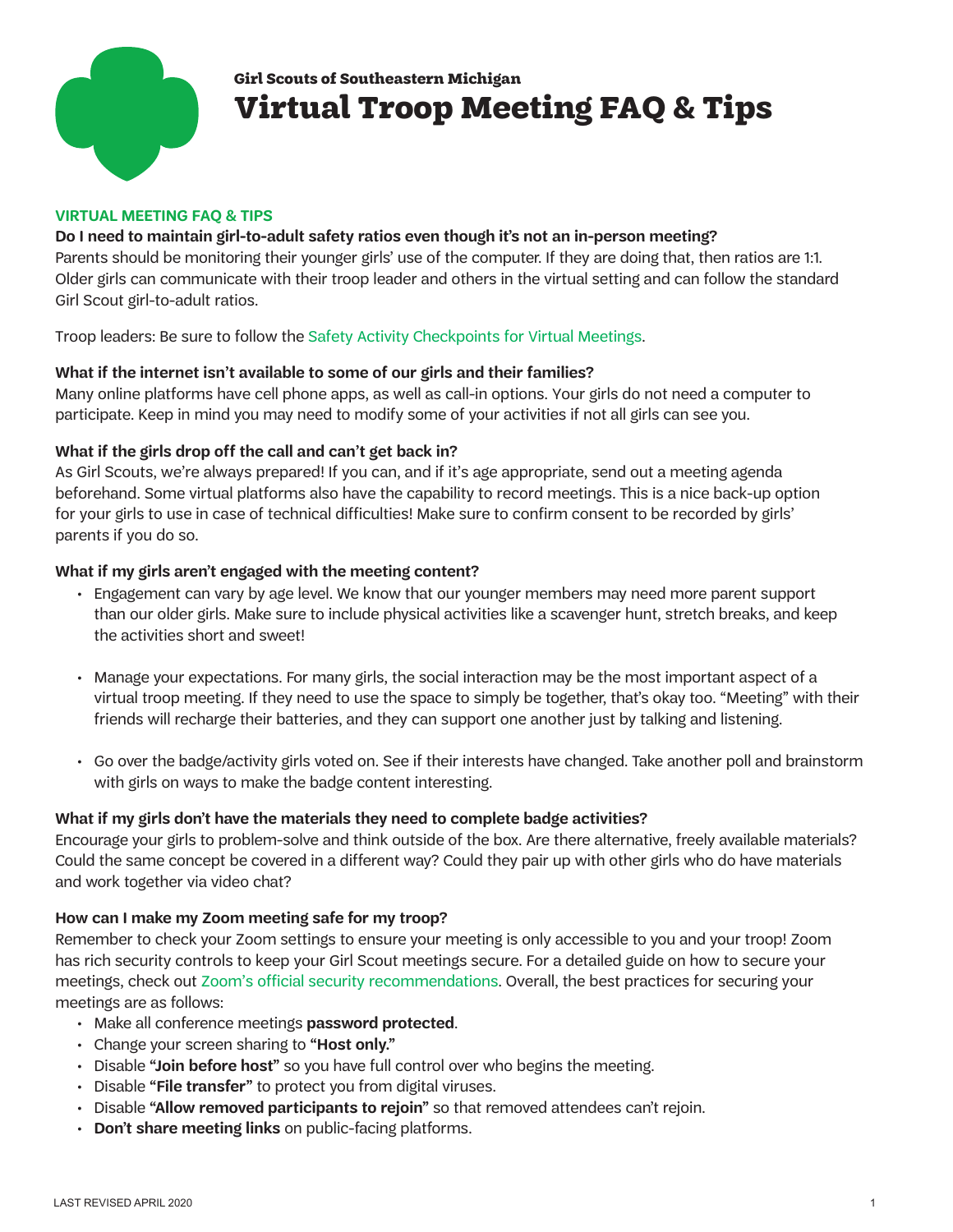

# **Girl Scouts of Southeastern Michigan Virtual Troop Meeting FAQ & Tips**

#### **VIRTUAL MEETING FAQ & TIPS**

## **Do I need to maintain girl-to-adult safety ratios even though it's not an in-person meeting?**

Parents should be monitoring their younger girls' use of the computer. If they are doing that, then ratios are 1:1. Older girls can communicate with their troop leader and others in the virtual setting and can follow the standard Girl Scout girl-to-adult ratios.

Troop leaders: Be sure to follow the [Safety Activity Checkpoint](https://www.gssem.org/content/dam/gssem/documents/training/safety-activity-checkpoints-for-virtual-meetings-2020.pdf)s for Virtual Meetings.

## **What if the internet isn't available to some of our girls and their families?**

Many online platforms have cell phone apps, as well as call-in options. Your girls do not need a computer to participate. Keep in mind you may need to modify some of your activities if not all girls can see you.

## **What if the girls drop off the call and can't get back in?**

As Girl Scouts, we're always prepared! If you can, and if it's age appropriate, send out a meeting agenda beforehand. Some virtual platforms also have the capability to record meetings. This is a nice back-up option for your girls to use in case of technical difficulties! Make sure to confirm consent to be recorded by girls' parents if you do so.

## **What if my girls aren't engaged with the meeting content?**

- Engagement can vary by age level. We know that our younger members may need more parent support than our older girls. Make sure to include physical activities like a scavenger hunt, stretch breaks, and keep the activities short and sweet!
- Manage your expectations. For many girls, the social interaction may be the most important aspect of a virtual troop meeting. If they need to use the space to simply be together, that's okay too. "Meeting" with their friends will recharge their batteries, and they can support one another just by talking and listening.
- Go over the badge/activity girls voted on. See if their interests have changed. Take another poll and brainstorm with girls on ways to make the badge content interesting.

## **What if my girls don't have the materials they need to complete badge activities?**

Encourage your girls to problem-solve and think outside of the box. Are there alternative, freely available materials? Could the same concept be covered in a different way? Could they pair up with other girls who do have materials and work together via video chat?

## **How can I make my Zoom meeting safe for my troop?**

Remember to check your Zoom settings to ensure your meeting is only accessible to you and your troop! Zoom has rich security controls to keep your Girl Scout meetings secure. For a detailed guide on how to secure your meetings, check out [Zoom's official security recommendations](https://blog.zoom.us/wordpress/2020/03/20/keep-uninvited-guests-out-of-your-zoom-event/). Overall, the best practices for securing your meetings are as follows:

- Make all conference meetings **password protected**.
- Change your screen sharing to **"Host only."**
- Disable **"Join before host"** so you have full control over who begins the meeting.
- Disable **"File transfer"** to protect you from digital viruses.
- Disable **"Allow removed participants to rejoin"** so that removed attendees can't rejoin.
- **Don't share meeting links** on public-facing platforms.